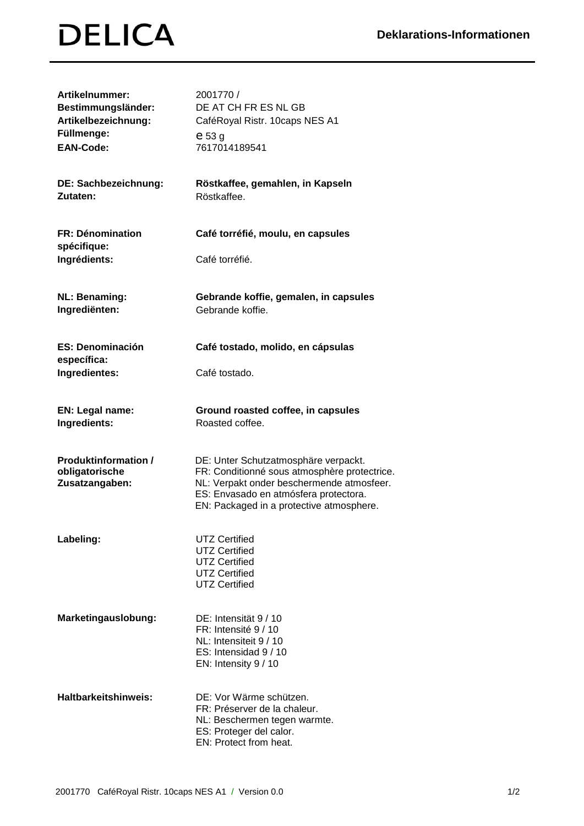## **DELICA**

| Artikelnummer:<br>Bestimmungsländer:<br>Artikelbezeichnung:<br>Füllmenge:<br><b>EAN-Code:</b> | 2001770 /<br>DE AT CH FR ES NL GB<br>CaféRoyal Ristr. 10caps NES A1<br>$e$ 53 $g$<br>7617014189541                                                                                                                     |
|-----------------------------------------------------------------------------------------------|------------------------------------------------------------------------------------------------------------------------------------------------------------------------------------------------------------------------|
| DE: Sachbezeichnung:<br>Zutaten:                                                              | Röstkaffee, gemahlen, in Kapseln<br>Röstkaffee.                                                                                                                                                                        |
| <b>FR: Dénomination</b><br>spécifique:<br>Ingrédients:                                        | Café torréfié, moulu, en capsules<br>Café torréfié.                                                                                                                                                                    |
| <b>NL: Benaming:</b><br>Ingrediënten:                                                         | Gebrande koffie, gemalen, in capsules<br>Gebrande koffie.                                                                                                                                                              |
| <b>ES: Denominación</b><br>específica:<br>Ingredientes:                                       | Café tostado, molido, en cápsulas<br>Café tostado.                                                                                                                                                                     |
| EN: Legal name:<br>Ingredients:                                                               | Ground roasted coffee, in capsules<br>Roasted coffee.                                                                                                                                                                  |
| <b>Produktinformation /</b><br>obligatorische<br>Zusatzangaben:                               | DE: Unter Schutzatmosphäre verpackt.<br>FR: Conditionné sous atmosphère protectrice.<br>NL: Verpakt onder beschermende atmosfeer.<br>ES: Envasado en atmósfera protectora.<br>EN: Packaged in a protective atmosphere. |
| Labeling:                                                                                     | <b>UTZ Certified</b><br><b>UTZ Certified</b><br><b>UTZ Certified</b><br><b>UTZ Certified</b><br><b>UTZ Certified</b>                                                                                                   |
| Marketingauslobung:                                                                           | DE: Intensität 9/10<br>FR: Intensité 9 / 10<br>NL: Intensiteit 9 / 10<br>ES: Intensidad 9 / 10<br>EN: Intensity 9 / 10                                                                                                 |
| Haltbarkeitshinweis:                                                                          | DE: Vor Wärme schützen.<br>FR: Préserver de la chaleur.<br>NL: Beschermen tegen warmte.<br>ES: Proteger del calor.<br>EN: Protect from heat.                                                                           |